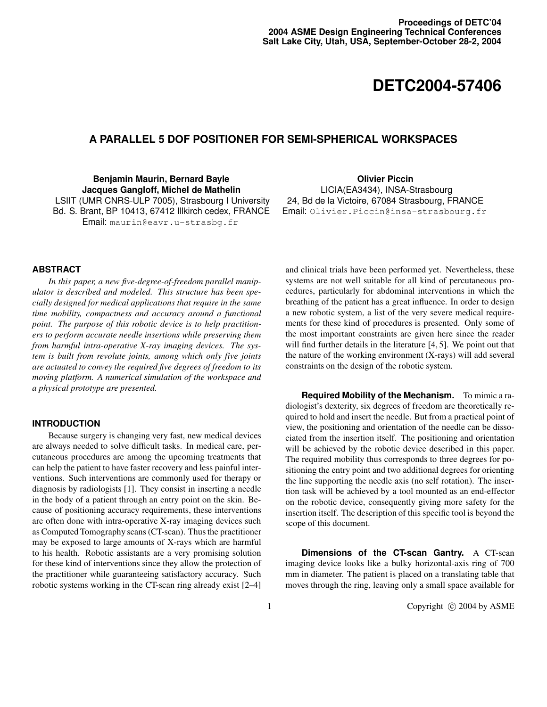# **DETC2004-57406**

## **A PARALLEL 5 DOF POSITIONER FOR SEMI-SPHERICAL WORKSPACES**

**Benjamin Maurin, Bernard Bayle Jacques Gangloff, Michel de Mathelin** LSIIT (UMR CNRS-ULP 7005), Strasbourg I University Bd. S. Brant, BP 10413, 67412 Illkirch cedex, FRANCE Email: maurin@eavr.u-strasbg.fr

**Olivier Piccin** LICIA(EA3434), INSA-Strasbourg 24, Bd de la Victoire, 67084 Strasbourg, FRANCE Email: Olivier.Piccin@insa-strasbourg.fr

#### **ABSTRACT**

*In this paper, a new five-degree-of-freedom parallel manipulator is described and modeled. This structure has been specially designed for medical applications that require in the same time mobility, compactness and accuracy around a functional point. The purpose of this robotic device is to help practitioners to perform accurate needle insertions while preserving them from harmful intra-operative X-ray imaging devices. The system is built from revolute joints, among which only five joints are actuated to convey the required five degrees of freedom to its moving platform. A numerical simulation of the workspace and a physical prototype are presented.*

#### **INTRODUCTION**

Because surgery is changing very fast, new medical devices are always needed to solve difficult tasks. In medical care, percutaneous procedures are among the upcoming treatments that can help the patient to have faster recovery and less painful interventions. Such interventions are commonly used for therapy or diagnosis by radiologists [1]. They consist in inserting a needle in the body of a patient through an entry point on the skin. Because of positioning accuracy requirements, these interventions are often done with intra-operative X-ray imaging devices such as Computed Tomography scans (CT-scan). Thus the practitioner may be exposed to large amounts of X-rays which are harmful to his health. Robotic assistants are a very promising solution for these kind of interventions since they allow the protection of the practitioner while guaranteeing satisfactory accuracy. Such robotic systems working in the CT-scan ring already exist [2–4]

and clinical trials have been performed yet. Nevertheless, these systems are not well suitable for all kind of percutaneous procedures, particularly for abdominal interventions in which the breathing of the patient has a great influence. In order to design a new robotic system, a list of the very severe medical requirements for these kind of procedures is presented. Only some of the most important constraints are given here since the reader will find further details in the literature [4, 5]. We point out that the nature of the working environment (X-rays) will add several constraints on the design of the robotic system.

**Required Mobility of the Mechanism.** To mimic a radiologist's dexterity, six degrees of freedom are theoretically required to hold and insert the needle. But from a practical point of view, the positioning and orientation of the needle can be dissociated from the insertion itself. The positioning and orientation will be achieved by the robotic device described in this paper. The required mobility thus corresponds to three degrees for positioning the entry point and two additional degrees for orienting the line supporting the needle axis (no self rotation). The insertion task will be achieved by a tool mounted as an end-effector on the robotic device, consequently giving more safety for the insertion itself. The description of this specific tool is beyond the scope of this document.

**Dimensions of the CT-scan Gantry.** A CT-scan imaging device looks like a bulky horizontal-axis ring of 700 mm in diameter. The patient is placed on a translating table that moves through the ring, leaving only a small space available for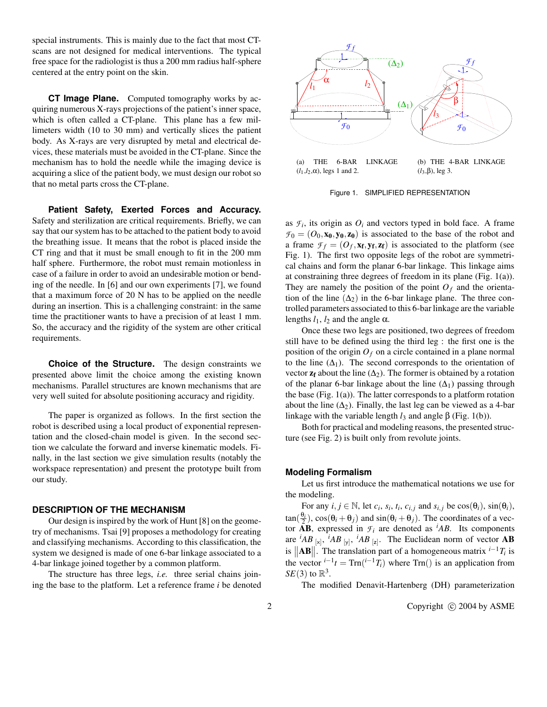special instruments. This is mainly due to the fact that most CTscans are not designed for medical interventions. The typical free space for the radiologist is thus a 200 mm radius half-sphere centered at the entry point on the skin.

**CT Image Plane.** Computed tomography works by acquiring numerous X-rays projections of the patient's inner space, which is often called a CT-plane. This plane has a few millimeters width (10 to 30 mm) and vertically slices the patient body. As X-rays are very disrupted by metal and electrical devices, these materials must be avoided in the CT-plane. Since the mechanism has to hold the needle while the imaging device is acquiring a slice of the patient body, we must design our robot so that no metal parts cross the CT-plane.

**Patient Safety, Exerted Forces and Accuracy.** Safety and sterilization are critical requirements. Briefly, we can say that our system has to be attached to the patient body to avoid the breathing issue. It means that the robot is placed inside the CT ring and that it must be small enough to fit in the 200 mm half sphere. Furthermore, the robot must remain motionless in case of a failure in order to avoid an undesirable motion or bending of the needle. In [6] and our own experiments [7], we found that a maximum force of 20 N has to be applied on the needle during an insertion. This is a challenging constraint: in the same time the practitioner wants to have a precision of at least 1 mm. So, the accuracy and the rigidity of the system are other critical requirements.

**Choice of the Structure.** The design constraints we presented above limit the choice among the existing known mechanisms. Parallel structures are known mechanisms that are very well suited for absolute positioning accuracy and rigidity.

The paper is organized as follows. In the first section the robot is described using a local product of exponential representation and the closed-chain model is given. In the second section we calculate the forward and inverse kinematic models. Finally, in the last section we give simulation results (notably the workspace representation) and present the prototype built from our study.

#### **DESCRIPTION OF THE MECHANISM**

Our design is inspired by the work of Hunt [8] on the geometry of mechanisms. Tsai [9] proposes a methodology for creating and classifying mechanisms. According to this classification, the system we designed is made of one 6-bar linkage associated to a 4-bar linkage joined together by a common platform.

The structure has three legs, *i.e.* three serial chains joining the base to the platform. Let a reference frame *i* be denoted



Figure 1. SIMPLIFIED REPRESENTATION

as  $\mathcal{F}_i$ , its origin as  $O_i$  and vectors typed in bold face. A frame  $\mathcal{F}_0 = (O_0, \mathbf{x}_0, \mathbf{y}_0, \mathbf{z}_0)$  is associated to the base of the robot and a frame  $\mathcal{F}_f = (O_f, \mathbf{x_f}, \mathbf{y_f}, \mathbf{z_f})$  is associated to the platform (see Fig. 1). The first two opposite legs of the robot are symmetrical chains and form the planar 6-bar linkage. This linkage aims at constraining three degrees of freedom in its plane (Fig. 1(a)). They are namely the position of the point  $O_f$  and the orientation of the line  $(\Delta_2)$  in the 6-bar linkage plane. The three controlled parameters associated to this 6-bar linkage are the variable lengths  $l_1$ ,  $l_2$  and the angle  $\alpha$ .

Once these two legs are positioned, two degrees of freedom still have to be defined using the third leg : the first one is the position of the origin  $O_f$  on a circle contained in a plane normal to the line  $(\Delta_1)$ . The second corresponds to the orientation of vector  $z_f$  about the line ( $\Delta_2$ ). The former is obtained by a rotation of the planar 6-bar linkage about the line  $(\Delta_1)$  passing through the base (Fig. 1(a)). The latter corresponds to a platform rotation about the line  $(\Delta_2)$ . Finally, the last leg can be viewed as a 4-bar linkage with the variable length  $l_3$  and angle β (Fig. 1(b)).

Both for practical and modeling reasons, the presented structure (see Fig. 2) is built only from revolute joints.

#### **Modeling Formalism**

Let us first introduce the mathematical notations we use for the modeling.

For any  $i, j \in \mathbb{N}$ , let  $c_i, s_i, t_i, c_{i,j}$  and  $s_{i,j}$  be  $cos(\theta_i)$ ,  $sin(\theta_i)$ ,  $\tan(\frac{\theta_i}{2})$ ,  $\cos(\theta_i + \theta_j)$  and  $\sin(\theta_i + \theta_j)$ . The coordinates of a vector **AB**, expressed in  $\mathcal{F}_i$  are denoted as *<sup><i>i*</sup>AB. Its components are <sup>*i*</sup>*AB* <sub>[x]</sub>, *<sup><i>i*</sup>*AB* <sub>[x]</sub>. The Euclidean norm of vector **AB** is  $\|\mathbf{AB}\|$ . The translation part of a homogeneous matrix  $i^{-1}T_i$  is the vector  $i^{-1}t = \text{Tr}((i^{-1}T_i))$  where  $\text{Tr}((i)$  is an application from  $SE(3)$  to  $\mathbb{R}^3$ .

The modified Denavit-Hartenberg (DH) parameterization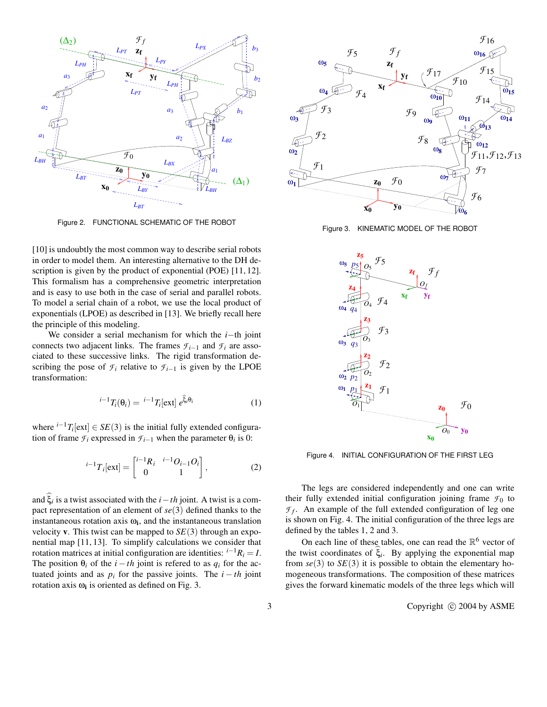

Figure 2. FUNCTIONAL SCHEMATIC OF THE ROBOT

[10] is undoubtly the most common way to describe serial robots in order to model them. An interesting alternative to the DH description is given by the product of exponential (POE) [11, 12]. This formalism has a comprehensive geometric interpretation and is easy to use both in the case of serial and parallel robots. To model a serial chain of a robot, we use the local product of exponentials (LPOE) as described in [13]. We briefly recall here the principle of this modeling.

We consider a serial mechanism for which the *i*−th joint connects two adjacent links. The frames  $\mathcal{F}_{i-1}$  and  $\mathcal{F}_i$  are associated to these successive links. The rigid transformation describing the pose of  $\mathcal{F}_i$  relative to  $\mathcal{F}_{i-1}$  is given by the LPOE transformation:

$$
{}^{i-1}T_i(\theta_i) = {}^{i-1}T_i[\text{ext}] \; e^{\hat{\xi}_i\theta_i} \tag{1}
$$

where  $i^{-1}T_i$ [ext]  $\in$  *SE*(3) is the initial fully extended configuration of frame  $\mathcal{F}_i$  expressed in  $\mathcal{F}_{i-1}$  when the parameter  $\theta_i$  is 0:

$$
{}^{i-1}T_i[ext] = \begin{bmatrix} {}^{i-1}R_i & {}^{i-1}O_{i-1}O_i \\ 0 & 1 \end{bmatrix},
$$
 (2)

and bξ*<sup>i</sup>* is a twist associated with the *i*−*th* joint. A twist is a compact representation of an element of *se*(3) defined thanks to the instantaneous rotation axis  $\omega_i$ , and the instantaneous translation velocity **v**. This twist can be mapped to  $SE(3)$  through an exponential map [11, 13]. To simplify calculations we consider that rotation matrices at initial configuration are identities:  $i^{-1}R_i = I$ . The position  $\theta_i$  of the *i* − *th* joint is refered to as  $q_i$  for the actuated joints and as  $p_i$  for the passive joints. The  $i - th$  joint rotation axis ω**<sup>i</sup>** is oriented as defined on Fig. 3.



Figure 3. KINEMATIC MODEL OF THE ROBOT



Figure 4. INITIAL CONFIGURATION OF THE FIRST LEG

The legs are considered independently and one can write their fully extended initial configuration joining frame  $\mathcal{F}_0$  to  $\mathcal{F}_f$ . An example of the full extended configuration of leg one is shown on Fig. 4. The initial configuration of the three legs are defined by the tables 1, 2 and 3.

On each line of these tables, one can read the  $\mathbb{R}^6$  vector of the twist coordinates of  $\xi_i$ . By applying the exponential map from  $se(3)$  to  $SE(3)$  it is possible to obtain the elementary homogeneous transformations. The composition of these matrices gives the forward kinematic models of the three legs which will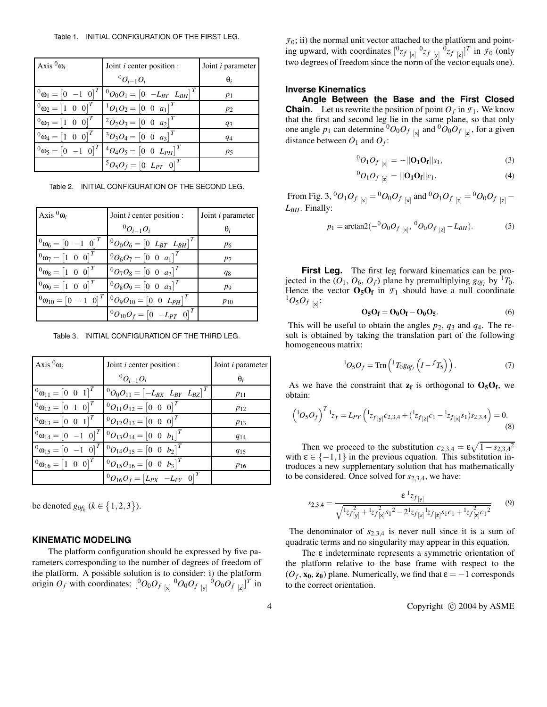#### Table 1. INITIAL CONFIGURATION OF THE FIRST LEG.

| Axis ${}^0\omega_i$                | Joint $i$ center position :                                                     | Joint i parameter |
|------------------------------------|---------------------------------------------------------------------------------|-------------------|
|                                    | ${}^0O_{i-1}O_i$                                                                | $\theta_i$        |
| ${}^{0} \omega_1 = [0 \ -1 \ 0]^T$ | ${}^0O_0O_1 = [0 \ -L_{BT} \ L_{BH}]^T$                                         | $p_1$             |
| $^{0}\omega_{2}=[1 \ 0 \ 0]^{T}$   | ${}^{1}O_1O_2 = [0 \ 0 \ a_1]^T$                                                | $p_2$             |
| $^{0}\omega_3 = [1 \ 0 \ 0]^T$     | $\begin{bmatrix} 2 & 0_2 & 0_3 & = \begin{bmatrix} 0 & 0 & a_2 \end{bmatrix}^T$ | $q_3$             |
| $^{0} \omega_4 = [1 \ 0 \ 0]^T$    | $^{3}O_{3}O_{4} = [0 \ 0 \ a_{3}]^{T}$                                          | $q_4$             |
| ${}^{0} \omega_5 = [0 \ -1 \ 0]^T$ | $^{4}O_{4}O_{5}=[0 \ 0 \ L_{PH}]^{T}$                                           | $p_5$             |
|                                    | ${}^5O_5O_f = [0 L_{PT} 0]^T$                                                   |                   |

Table 2. INITIAL CONFIGURATION OF THE SECOND LEG.

| Axis ${}^0\omega_i$                   | Joint $i$ center position :                                                                             | Joint i parameter |
|---------------------------------------|---------------------------------------------------------------------------------------------------------|-------------------|
|                                       | ${}^0O_{i-1}O_i$                                                                                        | $\theta_i$        |
| $^{0} \omega_6 = [0 \ -1 \ 0]^T$      | ${}^{0}O_{0}O_{6} = [0 L_{BT} L_{BH}]^{T}$                                                              | $p_6$             |
| ${}^0\omega_7 = [1 \ 0 \ 0]^T$        | ${}^0O_6O_7=[0 \ 0 \ a_1]^T$                                                                            | $p_7$             |
| ${}^{0} \omega_8 = [1 \ 0 \ 0]^T$     | ${}^0O_7O_8 = [0 \ 0 \ a_2]^T$                                                                          | $q_8$             |
| ${}^0\omega_9 = [1 \ 0 \ 0]^T$        | ${}^0O_8O_9=[0 \ 0 \ a_3]^T$                                                                            | $p_9$             |
| ${}^{0} \omega_{10} = [0 \ -1 \ 0]^T$ | $\begin{bmatrix} 0 & 0 & 0 \\ 0 & 0 & 0 \end{bmatrix}$ $\begin{bmatrix} 0 & 0 & L_{PH} \end{bmatrix}^T$ | $p_{10}$          |
|                                       | ${}^{0}O_{10}O_f = [0 \ -L_{PT} \ 0]^T$                                                                 |                   |

Table 3. INITIAL CONFIGURATION OF THE THIRD LEG.

| Axis ${}^0\omega_i$                                              | Joint $i$ center position :                                                                                                                          | Joint <i>i</i> parameter |
|------------------------------------------------------------------|------------------------------------------------------------------------------------------------------------------------------------------------------|--------------------------|
|                                                                  | ${}^0O_{i-1}O_i$                                                                                                                                     | $\theta_i$               |
| $^{0}\omega_{11} = \begin{bmatrix} 0 & 0 & 1 \end{bmatrix}^{T}$  | ${}^{0}O_{0}O_{11} = \begin{bmatrix} -L_{BX} & L_{BY} & L_{BZ} \end{bmatrix}^{T}$                                                                    | $p_{11}$                 |
| $^{0} \omega_{12} = \begin{bmatrix} 0 & 1 & 0 \end{bmatrix}^{T}$ | ${}^{0}O_{11}O_{12} = [0 \ 0 \ 0]^{T}$                                                                                                               | $p_{12}$                 |
| $^{0} \omega_{13} = \begin{bmatrix} 0 & 0 & 1 \end{bmatrix}^{T}$ | $[{}^0O_{12}O_{13} = [0 \ 0 \ 0]^{T}$                                                                                                                | $p_{13}$                 |
|                                                                  | $^{0} \omega_{14} = \begin{bmatrix} 0 & -1 & 0 \end{bmatrix}^{T} \begin{bmatrix} ^{0}O_{13}O_{14} = \begin{bmatrix} 0 & 0 & b_{1} \end{bmatrix}^{T}$ | $q_{14}$                 |
|                                                                  | $^{0} \omega_{15} = \begin{bmatrix} 0 & -1 & 0 \end{bmatrix}^{T} \begin{bmatrix} ^{0}O_{14}O_{15} = \begin{bmatrix} 0 & 0 & b_{2} \end{bmatrix}^{T}$ | $q_{15}$                 |
| ${}^0\omega_{16} = [1 \ 0 \ 0]^T$                                | ${}^{0}O_{15}O_{16}=[0 \ 0 \ b_{3}]^{T}$                                                                                                             | $p_{16}$                 |
|                                                                  | ${}^{0}O_{16}O_f = [L_{PX} - L_{PY} 0]^T$                                                                                                            |                          |

be denoted  $g_{0f_k}$  ( $k \in \{1, 2, 3\}$ ).

### **KINEMATIC MODELING**

The platform configuration should be expressed by five parameters corresponding to the number of degrees of freedom of the platform. A possible solution is to consider: i) the platform origin  $O_f$  with coordinates:  $\left[ {}^0O_0O_f \right]_{x} {}^0O_0O_f \left[1\atop x\right] \left[ {}^0O_0O_f \right]_{[x]}]^T$  in

 $\mathcal{F}_0$ ; ii) the normal unit vector attached to the platform and pointing upward, with coordinates  $\begin{bmatrix} 0_{z_f} & 0_{z_f} \\ 0_{z_f} & 0_{z_f} \end{bmatrix}$   $\begin{bmatrix} 0_{z_f} & 0_{z_f} \\ 0_{z_f} & 0_{z_f} \end{bmatrix}$  in  $\mathcal{F}_0$  (only two degrees of freedom since the norm of the vector equals one).

#### **Inverse Kinematics**

**Angle Between the Base and the First Closed Chain.** Let us rewrite the position of point  $O_f$  in  $\mathcal{F}_1$ . We know that the first and second leg lie in the same plane, so that only one angle  $p_1$  can determine  ${}^0O_0O_f$   $_{[x]}$  and  ${}^0O_0O_f$   $_{[z]}$ , for a given distance between  $O_1$  and  $O_f$ :

$$
{}^{0}O_{1}O_{f}|_{x} = -||O_{1}O_{f}||s_{1}, \qquad (3)
$$

$$
{}^{0}O_{1}O_{f}|_{z]} = ||O_{1}O_{f}||c_{1}.
$$
\n(4)

From Fig. 3,  ${}^{0}O_{1}O_{f}$ <sub>[x]</sub> =  ${}^{0}O_{0}O_{f}$ <sub>[x]</sub> and  ${}^{0}O_{1}O_{f}$ <sub>[z]</sub> =  ${}^{0}O_{0}O_{f}$ <sub>[z]</sub> – *LBH*. Finally:

$$
p_1 = \arctan 2(-{}^{0}O_0O_{f_{[x]}}, {}^{0}O_0O_{f_{[z]}} - L_{BH}).
$$
 (5)

**First Leg.** The first leg forward kinematics can be projected in the  $(O_1, O_6, O_f)$  plane by premultiplying  $g_{0f_1}$  by  ${}^{1}T_0$ . Hence the vector  $O_5O_f$  in  $\mathcal{F}_1$  should have a null coordinate  $^1O_5O_f$   $_{[\times]}$ :

$$
\mathbf{O}_5\mathbf{O}_f = \mathbf{O}_0\mathbf{O}_f - \mathbf{O}_0\mathbf{O}_5. \tag{6}
$$

This will be useful to obtain the angles *p*2, *q*<sup>3</sup> and *q*4. The result is obtained by taking the translation part of the following homogeneous matrix:

$$
{}^{1}O_{5}O_{f} = \text{Trn}\left({}^{1}T_{0}g_{0f_{I}}\left(I - {}^{f}T_{5}\right)\right). \tag{7}
$$

As we have the constraint that  $z_f$  is orthogonal to  $O_5O_f$ , we obtain:

$$
\left({}^{1}O_{5}O_{f}\right)^{T} 1_{\mathcal{Z}_{f}} = L_{PT}\left({}^{1}{}_{\mathcal{Z}_{f}}_{[y]}c_{2,3,4} + ({}^{1}{}_{\mathcal{Z}_{f}}_{[z]}c_{1} - {}^{1}{}_{\mathcal{Z}_{f}}_{[x]}s_{1})s_{2,3,4}\right) = 0.
$$
\n(8)

Then we proceed to the substitution  $c_{2,3,4} = \varepsilon \sqrt{1 - s_{2,3,4}^2}$ with  $\varepsilon \in \{-1,1\}$  in the previous equation. This substitution introduces a new supplementary solution that has mathematically to be considered. Once solved for *s*2,3,4, we have:

$$
s_{2,3,4} = \frac{\varepsilon^{1} z_{f[y]}}{\sqrt{1_{Z_{f}[y]}^{2} + 1_{Z_{f}[x]}^{2} s_{1}^{2} - 21_{Z_{f}[x]}^{2} s_{1} c_{1} + 1_{Z_{f}[z]}^{2} c_{1}^{2}}}
$$
(9)

The denominator of  $s_{2,3,4}$  is never null since it is a sum of quadratic terms and no singularity may appear in this equation.

The ε indeterminate represents a symmetric orientation of the platform relative to the base frame with respect to the  $(O_f, \mathbf{x_0}, \mathbf{z_0})$  plane. Numerically, we find that  $\varepsilon = -1$  corresponds to the correct orientation.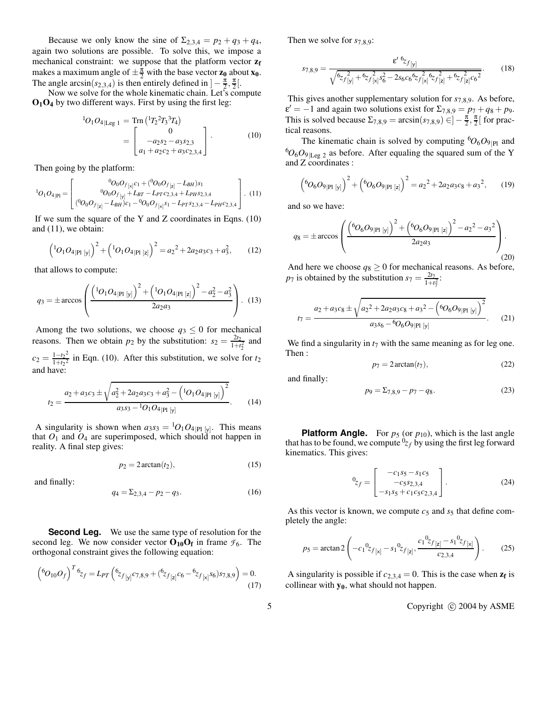Because we only know the sine of  $\Sigma_{2,3,4} = p_2 + q_3 + q_4$ , again two solutions are possible. To solve this, we impose a mechanical constraint: we suppose that the platform vector **z<sup>f</sup>** makes a maximum angle of  $\pm \frac{\pi}{2}$  with the base vector **z**<sub>0</sub> about **x**<sub>0</sub>. The angle  $arcsin(s_{2,3,4})$  is then entirely defined in  $]-\frac{\pi}{2},\frac{\pi}{2}$ .

Now we solve for the whole kinematic chain. Let's compute **O1O<sup>4</sup>** by two different ways. First by using the first leg:

$$
{}^{1}O_{1}O_{4|\text{Leg }1} = \text{Trn} \left( {}^{1}T_{2} {}^{2}T_{3} {}^{3}T_{4} \right)
$$
  
= 
$$
\begin{bmatrix} 0 \\ -a_{2} s_{2} - a_{3} s_{2,3} \\ a_{1} + a_{2} c_{2} + a_{3} c_{2,3,4} \end{bmatrix}.
$$
 (10)

Then going by the platform:

$$
{}^{1}O_{1}O_{4|P|} = \begin{bmatrix} {}^{0}O_{0}O_{f_{[x]}c_{1}} + ({}^{0}O_{0}O_{f_{[z]}} - L_{BH})s_{1} \ {}^{0}O_{1}O_{f_{[x]}} + L_{BT} - L_{PT}c_{2,3,4} + L_{PH}s_{2,3,4} \ {}^{0}O_{0}O_{f_{[x]}} - L_{BH})c_{1} - {}^{0}O_{0}O_{f_{[x]}s_{1}} - L_{PT}s_{2,3,4} - L_{PH}c_{2,3,4} \end{bmatrix} . \tag{11}
$$

If we sum the square of the Y and Z coordinates in Eqns.  $(10)$ and (11), we obtain:

$$
\left({}^{1}O_{1}O_{4\left|\mathbb{P}\right|}\left|_{y}\right|\right)^{2}+\left({}^{1}O_{1}O_{4\left|\mathbb{P}\right|}\left|_{z}\right|\right)^{2}=a_{2}^{2}+2a_{2}a_{3}c_{3}+a_{3}^{2},\qquad(12)
$$

that allows to compute:

$$
q_3 = \pm \arccos\left(\frac{\left(\frac{1}{O_1 O_{4|\text{PI [y]}}}\right)^2 + \left(\frac{1}{O_1 O_{4|\text{PI [z]}}}\right)^2 - a_2^2 - a_3^2}{2a_2 a_3}\right). (13)
$$

Among the two solutions, we choose  $q_3 \leq 0$  for mechanical reasons. Then we obtain  $p_2$  by the substitution:  $s_2 = \frac{2t_2}{1+t_1}$  $\frac{2t_2}{1+t_2^2}$  and  $c_2 = \frac{1-t_2^2}{1+t_2^2}$  $\frac{1-t_2^2}{1+t_2^2}$  in Eqn. (10). After this substitution, we solve for  $t_2$ and have:

$$
t_2 = \frac{a_2 + a_3 c_3 \pm \sqrt{a_2^2 + 2 a_2 a_3 c_3 + a_3^2 - \left(10_1 O_{4|\text{Pl [y]}}\right)^2}}{a_3 s_3 - 10_1 O_{4|\text{Pl [y]}}}}.
$$
(14)

A singularity is shown when  $a_3s_3 = {}^{1}O_1O_4|_{Pl}$  [y]. This means that  $O_1$  and  $O_4$  are superimposed, which should not happen in reality. A final step gives:

$$
p_2 = 2\arctan(t_2),\tag{15}
$$

and finally:

$$
q_4 = \Sigma_{2,3,4} - p_2 - q_3. \tag{16}
$$

**Second Leg.** We use the same type of resolution for the second leg. We now consider vector  $O_{10}O_f$  in frame  $\mathcal{F}_6$ . The orthogonal constraint gives the following equation:

$$
\left(^{6}O_{10}O_f\right)^{T} {}^{6}z_{f} = L_{PT}\left(^{6}z_{f[y]}c_{7,8,9} + (^{6}z_{f[z]}c_{6} - ^{6}z_{f[x]}s_{6})s_{7,8,9}\right) = 0.
$$
\n(17)

Then we solve for  $s_{7,8,9}$ :

$$
s_{7,8,9} = \frac{\varepsilon'^6 z_{f[y]}}{\sqrt{6z_{f[y]}^2 + 6z_{f[x]}^2 s_6^2 - 2s_6 c_6 6z_{f[x]}^2 6z_{f[z]}^2 + 6z_{f[z]}^2 c_6^2}}.
$$
(18)

This gives another supplementary solution for *s*7,8,9. As before,  $\varepsilon' = -1$  and again two solutions exist for  $\Sigma_{7,8,9} = p_7 + q_8 + p_9$ . This is solved because  $\Sigma_{7,8,9} = \arcsin(s_{7,8,9}) \in ]-\frac{\pi}{2}, \frac{\pi}{2}[$  for practical reasons.

The kinematic chain is solved by computing  ${}^6O_6O_{9|P1}$  and  ${}^{6}O_6O_9$ <sub>|Leg 2</sub> as before. After equaling the squared sum of the Y and Z coordinates :

$$
({}^{6}O_6O_{9|P1\ [y]})^2 + ({}^{6}O_6O_{9|P1\ [z]})^2 = a_2{}^{2} + 2a_2a_3c_8 + a_3{}^{2},\qquad(19)
$$

and so we have:

$$
q_8 = \pm \arccos\left(\frac{\left( {}^{6}O_6O_{9|P1[y|} \right)^2 + \left( {}^{6}O_6O_{9|P1[z|} \right)^2 - a_2{}^2 - a_3{}^2}{2a_2a_3} \right). \tag{20}
$$

And here we choose  $q_8 \ge 0$  for mechanical reasons. As before,  $p_7$  is obtained by the substitution  $s_7 = \frac{2t_7}{1+t_7}$  $\frac{2t}{1+t_7^2}$ :

$$
t_7 = \frac{a_2 + a_3 c_8 \pm \sqrt{a_2^2 + 2a_2 a_3 c_8 + a_3^2 - \left(60_6 O_{9|P|}[y]\right)^2}}{a_3 s_6 - 60_6 O_{9|P|}[y]}
$$
 (21)

We find a singularity in  $t_7$  with the same meaning as for leg one. Then :

$$
p_7 = 2\arctan(t_7),\tag{22}
$$

and finally:

$$
p_9 = \Sigma_{7,8,9} - p_7 - q_8. \tag{23}
$$

**Platform Angle.** For  $p_5$  (or  $p_{10}$ ), which is the last angle that has to be found, we compute  ${}^0z_f$  by using the first leg forward kinematics. This gives:

$$
{}^{0}z_{f} = \begin{bmatrix} -c_{1}s_{5} - s_{1}c_{5} \\ -c_{5}s_{2,3,4} \\ -s_{1}s_{5} + c_{1}c_{5}c_{2,3,4} \end{bmatrix}.
$$
 (24)

As this vector is known, we compute  $c_5$  and  $s_5$  that define completely the angle:

$$
p_5 = \arctan 2\left(-c_1{}^0 z_{f[x]} - s_1{}^0 z_{f[z]}, \frac{c_1{}^0 z_{f[z]} - s_1{}^0 z_{f[x]}}{c_{2,3,4}}\right). \tag{25}
$$

A singularity is possible if  $c_{2,3,4} = 0$ . This is the case when  $z_f$  is collinear with **y0**, what should not happen.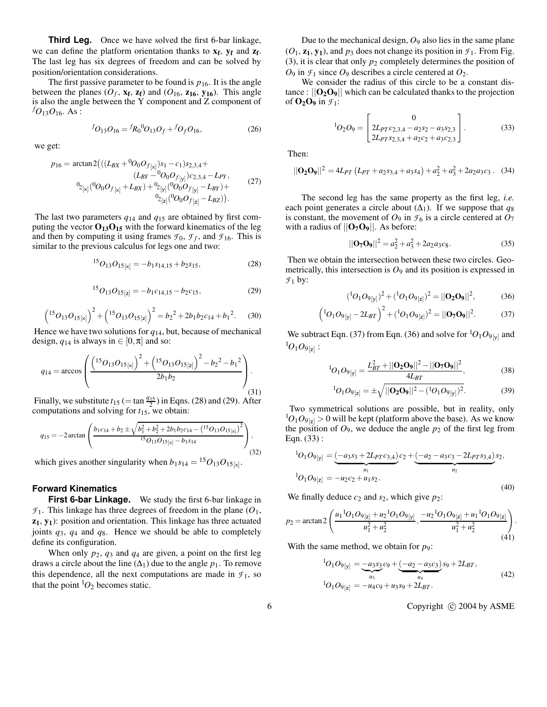**Third Leg.** Once we have solved the first 6-bar linkage, we can define the platform orientation thanks to **x<sup>f</sup>** , **y<sup>f</sup>** and **z<sup>f</sup>** . The last leg has six degrees of freedom and can be solved by position/orientation considerations.

The first passive parameter to be found is  $p_{16}$ . It is the angle between the planes  $(O_f, \mathbf{x_f}, \mathbf{z_f})$  and  $(O_{16}, \mathbf{z_{16}}, \mathbf{y_{16}})$ . This angle is also the angle between the Y component and Z component of  ${}^fO_{13}O_{16}$ . As :

$$
{}^{f}O_{13}O_{16} = {}^{f}R_0 {}^{0}O_{13}O_f + {}^{f}O_f O_{16},
$$
\n(26)

we get:

$$
p_{16} = \arctan 2(((L_{BX} + {}^{0}O_0O_{f_{[x]}})s_1 - c_1)s_{2,3,4} +
$$
  
\n
$$
(L_{BY} - {}^{0}O_0O_{f_{[y]}})c_{2,3,4} - L_{PY},
$$
  
\n
$$
{}^{0}z_{[x]}({}^{0}O_0O_{f_{[x]}} + L_{BX}) + {}^{0}z_{[y]}({}^{0}O_0O_{f_{[y]}} - L_{BY}) +
$$
  
\n
$$
{}^{0}z_{[z]}({}^{0}O_0O_{f_{[z]}} - L_{BZ})).
$$
\n
$$
(27)
$$

The last two parameters  $q_{14}$  and  $q_{15}$  are obtained by first computing the vector  $O_{13}O_{15}$  with the forward kinematics of the leg and then by computing it using frames  $\mathcal{F}_0$ ,  $\mathcal{F}_f$ , and  $\mathcal{F}_{16}$ . This is similar to the previous calculus for legs one and two:

$$
{}^{15}O_{13}O_{15[x]} = -b_1s_{14,15} + b_2s_{15},
$$
\n(28)

$$
{}^{15}O_{13}O_{15[z]} = -b_1c_{14,15} - b_2c_{15},\tag{29}
$$

$$
(15O_{13}O_{15[x]})^2 + (15O_{13}O_{15[z]})^2 = b_2^2 + 2b_1b_2c_{14} + b_1^2.
$$
 (30)

Hence we have two solutions for *q*14, but, because of mechanical design,  $q_{14}$  is always in  $\in [0, \pi]$  and so:

$$
q_{14} = \arccos\left(\frac{\left(^{15}O_{13}O_{15[\times]}\right)^2 + \left(^{15}O_{13}O_{15[\times]}\right)^2 - b_2^2 - b_1^2}{2b_1b_2}\right). \tag{31}
$$

Finally, we substitute  $t_{15}$  (= tan  $\frac{q_{15}}{2}$ ) in Eqns. (28) and (29). After computations and solving for *t*15, we obtain:

$$
q_{15} = -2\arctan\left(\frac{b_1c_{14} + b_2 \pm \sqrt{b_1^2 + b_2^2 + 2b_1b_2c_{14} - (^{15}O_{13}O_{15[\times]})^2}}{^{15}O_{13}O_{15[\times]}-b_1s_{14}}\right),
$$
\n(32)

which gives another singularity when  $b_1s_{14} = {}^{15}O_{13}O_{15[x]}$ .

#### **Forward Kinematics**

**First 6-bar Linkage.** We study the first 6-bar linkage in  $\mathcal{F}_1$ . This linkage has three degrees of freedom in the plane  $(O_1,$ **z1**, **y1**): position and orientation. This linkage has three actuated joints *q*3, *q*<sup>4</sup> and *q*8. Hence we should be able to completely define its configuration.

When only *p*2, *q*<sup>3</sup> and *q*<sup>4</sup> are given, a point on the first leg draws a circle about the line  $(\Delta_1)$  due to the angle  $p_1$ . To remove this dependence, all the next computations are made in  $\mathcal{F}_1$ , so that the point  ${}^{1}O_2$  becomes static.

Due to the mechanical design, *O*<sup>9</sup> also lies in the same plane  $(O_1, \mathbf{z}_1, \mathbf{y}_1)$ , and  $p_3$  does not change its position in  $\mathcal{F}_1$ . From Fig. (3), it is clear that only  $p_2$  completely determines the position of  $O_9$  in  $\mathcal{F}_1$  since  $O_9$  describes a circle centered at  $O_2$ .

We consider the radius of this circle to be a constant distance :  $||O_2O_9||$  which can be calculated thanks to the projection of  $O_2O_9$  in  $\mathcal{F}_1$ :

$$
{}^{1}O_{2}O_{9} = \begin{bmatrix} 0 \\ 2L_{PT}c_{2,3,4} - a_{2}s_{2} - a_{3}s_{2,3} \\ 2L_{PT}s_{2,3,4} + a_{2}c_{2} + a_{3}c_{2,3} \end{bmatrix}.
$$
 (33)

Then:

$$
||\mathbf{O}_2\mathbf{O}_9||^2 = 4L_{PT} (L_{PT} + a_2s_{3,4} + a_3s_4) + a_2^2 + a_3^2 + 2a_2a_3c_3.
$$
 (34)

The second leg has the same property as the first leg, *i.e.* each point generates a circle about  $(\Delta_1)$ . If we suppose that  $q_8$ is constant, the movement of  $O_9$  in  $\mathcal{F}_6$  is a circle centered at  $O_7$ with a radius of  $||O_7O_9||$ . As before:

$$
||\mathbf{O}_7 \mathbf{O}_9||^2 = a_2^2 + a_3^2 + 2a_2 a_3 c_8. \tag{35}
$$

Then we obtain the intersection between these two circles. Geometrically, this intersection is  $O_9$  and its position is expressed in  $\mathcal{F}_1$  by:

$$
({}^{1}O_{1}O_{9[y]})^{2} + ({}^{1}O_{1}O_{9[z]})^{2} = ||O_{2}O_{9}||^{2},
$$
 (36)

$$
\left({}^{1}O_{1}O_{9[y]}-2L_{BT}\right)^{2}+({}^{1}O_{1}O_{9[z]})^{2}=||O_{7}O_{9}||^{2}.
$$
 (37)

We subtract Eqn. (37) from Eqn. (36) and solve for  ${}^{1}O_{1}O_{9[y]}$  and  $^1O_1O_9{}_{[z]}$  :

$$
{}^{1}O_{1}O_{9[y]} = \frac{L_{BT}^{2} + ||O_{2}O_{9}||^{2} - ||O_{7}O_{9}||^{2}}{4L_{BT}},
$$
\n(38)

$$
{}^{1}O_{1}O_{9}[z] = \pm \sqrt{||\mathbf{O}_{2}\mathbf{O}_{9}||^{2} - ({}^{1}O_{1}O_{9}[y])^{2}}.
$$
 (39)

Two symmetrical solutions are possible, but in reality, only  $1O_1O_{9|z|} > 0$  will be kept (platform above the base). As we know the position of  $O_9$ , we deduce the angle  $p_2$  of the first leg from Eqn. (33) :

$$
{}^{1}O_{1}O_{9[y]} = \underbrace{(-a_{3}s_{3} + 2L_{PT}c_{3,4})}_{u_{1}}c_{2} + \underbrace{(-a_{2} - a_{3}c_{3} - 2L_{PT}s_{3,4})}_{u_{2}}s_{2},
$$
  
\n
$$
{}^{1}O_{1}O_{9[z]} = -u_{2}c_{2} + u_{1}s_{2}.
$$
\n(40)

We finally deduce  $c_2$  and  $s_2$ , which give  $p_2$ :

$$
p_2 = \arctan 2\left(\frac{u_1^{1}O_1O_{9[z]} + u_2^{1}O_1O_{9[y]}}{u_1^{2} + u_2^{2}}, \frac{-u_2^{1}O_1O_{9[z]} + u_1^{1}O_1O_{9[z]}}{u_1^{2} + u_2^{2}}\right).
$$
\n(41)

With the same method, we obtain for  $p_9$ :

$$
{}^{1}O_{1}O_{9[y]} = -a_{3}s_{3}c_{9} + (-a_{2} - a_{3}c_{3})s_{9} + 2L_{BT},
$$
  
\n
$$
{}^{1}O_{1}O_{9[x]} = -u_{4}c_{9} + u_{3}s_{9} + 2L_{BT}.
$$
\n(42)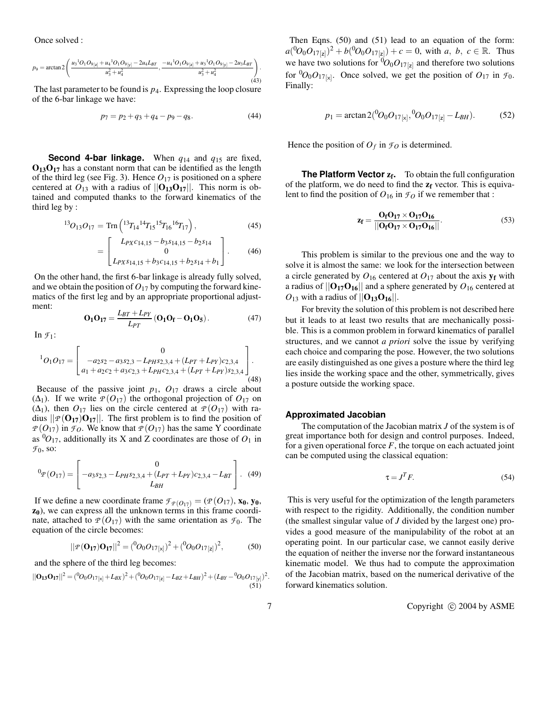Once solved :

$$
p_9 = \arctan 2\left(\frac{u_3^{-1}O_1O_{9(z)} + u_4^{-1}O_1O_{9(y)} - 2u_4L_{BT}}{u_3^2 + u_4^2}, \frac{-u_4^{-1}O_1O_{9(z)} + u_3^{-1}O_1O_{9(y)} - 2u_3L_{BT}}{u_3^2 + u_4^2}\right).
$$
\n(43)

The last parameter to be found is  $p_4$ . Expressing the loop closure of the 6-bar linkage we have:

$$
p_7 = p_2 + q_3 + q_4 - p_9 - q_8. \tag{44}
$$

**Second 4-bar linkage.** When *q*<sup>14</sup> and *q*<sup>15</sup> are fixed, **O13O<sup>17</sup>** has a constant norm that can be identified as the length of the third leg (see Fig. 3). Hence  $O_{17}$  is positioned on a sphere centered at  $\overline{O_{13}}$  with a radius of  $||\overline{O_{13}O_{17}}||$ . This norm is obtained and computed thanks to the forward kinematics of the third leg by :

$$
^{13}O_{13}O_{17} = \text{Trn}\left(^{13}T_{14}^{14}T_{15}^{15}T_{16}^{16}T_{17}\right),\tag{45}
$$

$$
= \begin{bmatrix} L_{PX}c_{14,15} - b_3s_{14,15} - b_2s_{14} \\ 0 \\ L_{PX}s_{14,15} + b_3c_{14,15} + b_2s_{14} + b_1 \end{bmatrix}.
$$
 (46)

On the other hand, the first 6-bar linkage is already fully solved, and we obtain the position of  $O_{17}$  by computing the forward kinematics of the first leg and by an appropriate proportional adjustment:

$$
\mathbf{O}_1 \mathbf{O}_{17} = \frac{L_{BT} + L_{PY}}{L_{PT}} (\mathbf{O}_1 \mathbf{O}_f - \mathbf{O}_1 \mathbf{O}_5). \tag{47}
$$

In  $\mathcal{F}_1$ :

$$
{}^{1}O_{1}O_{17} = \begin{bmatrix} 0 \\ -a_{2}s_{2} - a_{3}s_{2,3} - L_{PH}s_{2,3,4} + (L_{PT} + L_{PY})c_{2,3,4} \\ a_{1} + a_{2}c_{2} + a_{3}c_{2,3} + L_{PH}c_{2,3,4} + (L_{PT} + L_{PY})s_{2,3,4} \end{bmatrix}.
$$
\n(48)

Because of the passive joint  $p_1$ ,  $O_{17}$  draws a circle about  $(\Delta_1)$ . If we write  $P(O_{17})$  the orthogonal projection of  $O_{17}$  on  $(\Delta_1)$ , then  $O_{17}$  lies on the circle centered at  $P(O_{17})$  with radius  $||p(\mathbf{O}_{17})\mathbf{O}_{17}||$ . The first problem is to find the position of  $P(O_{17})$  in  $\mathcal{F}_O$ . We know that  $P(O_{17})$  has the same Y coordinate as  ${}^{0}O_{17}$ , additionally its X and Z coordinates are those of  $O_1$  in *F*0, so:

$$
{}^{0}P(O_{17}) = \begin{bmatrix} 0 \\ -a_3s_{2,3} - L_{PH}s_{2,3,4} + (L_{PT} + L_{PY})c_{2,3,4} - L_{BT} \\ L_{BH} \end{bmatrix}.
$$
 (49)

If we define a new coordinate frame  $\mathcal{F}_{\mathcal{P}(O_{17})} = (\mathcal{P}(O_{17}), \mathbf{x_0}, \mathbf{y_0}, \mathbf{y_0})$ **z0**), we can express all the unknown terms in this frame coordinate, attached to  $P(O_{17})$  with the same orientation as  $\mathcal{F}_0$ . The equation of the circle becomes:

$$
||\varPsi(\mathbf{O}_{17})\mathbf{O}_{17}||^2 = ({}^{0}O_0O_{17[\times]})^2 + ({}^{0}O_0O_{17[\times]})^2,
$$
 (50)

and the sphere of the third leg becomes:

$$
||\mathbf{O}_{13}\mathbf{O}_{17}||^2 = ({}^{0}O_0O_{17[x]} + L_{BX})^2 + ({}^{0}O_0O_{17[x]} - L_{BZ} + L_{BH})^2 + (L_{BY} - {}^{0}O_0O_{17[x]})^2.
$$
\n(51)

Then Eqns. (50) and (51) lead to an equation of the form:  $a(^{0}O_{0}O_{17[\mathsf{z}]} )^{2} + b(^{0}O_{0}O_{17[\mathsf{z}]} ) + c = 0$ , with *a*, *b*, *c* ∈ ℝ. Thus we have two solutions for  ${}^0O_0O_{17[z]}$  and therefore two solutions for  ${}^{0}O_{0}O_{17[x]}$ . Once solved, we get the position of  $O_{17}$  in  $\mathcal{F}_0$ . Finally:

$$
p_1 = \arctan 2(^0O_0O_{17[x]}, ^0O_0O_{17[x]} - L_{BH}).
$$
 (52)

Hence the position of  $O_f$  in  $\mathcal{F}_O$  is determined.

**The Platform Vector z<sup>f</sup> .** To obtain the full configuration of the platform, we do need to find the **z<sup>f</sup>** vector. This is equivalent to find the position of  $O_{16}$  in  $\mathcal{F}_O$  if we remember that :

$$
z_{\rm f} = \frac{O_{\rm f} O_{17} \times O_{17} O_{16}}{||O_{\rm f} O_{17} \times O_{17} O_{16}||}.
$$
 (53)

This problem is similar to the previous one and the way to solve it is almost the same: we look for the intersection between a circle generated by  $O_{16}$  centered at  $O_{17}$  about the axis  $y_f$  with a radius of  $||\mathbf{O}_{17}\mathbf{O}_{16}||$  and a sphere generated by  $O_{16}$  centered at  $O_{13}$  with a radius of  $||O_{13}O_{16}||.$ 

For brevity the solution of this problem is not described here but it leads to at least two results that are mechanically possible. This is a common problem in forward kinematics of parallel structures, and we cannot *a priori* solve the issue by verifying each choice and comparing the pose. However, the two solutions are easily distinguished as one gives a posture where the third leg lies inside the working space and the other, symmetrically, gives a posture outside the working space.

#### **Approximated Jacobian**

The computation of the Jacobian matrix *J* of the system is of great importance both for design and control purposes. Indeed, for a given operational force  $F$ , the torque on each actuated joint can be computed using the classical equation:

$$
\tau = J^T F. \tag{54}
$$

This is very useful for the optimization of the length parameters with respect to the rigidity. Additionally, the condition number (the smallest singular value of *J* divided by the largest one) provides a good measure of the manipulability of the robot at an operating point. In our particular case, we cannot easily derive the equation of neither the inverse nor the forward instantaneous kinematic model. We thus had to compute the approximation of the Jacobian matrix, based on the numerical derivative of the forward kinematics solution.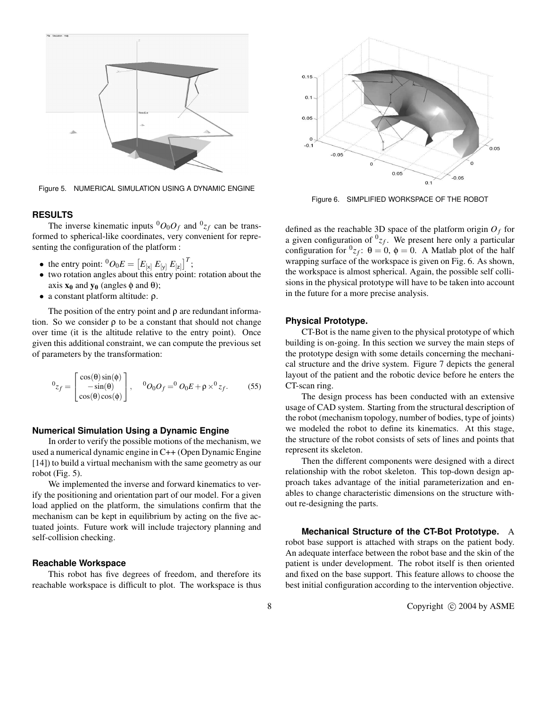

Figure 5. NUMERICAL SIMULATION USING A DYNAMIC ENGINE

#### **RESULTS**

The inverse kinematic inputs  ${}^0O_0O_f$  and  ${}^0z_f$  can be transformed to spherical-like coordinates, very convenient for representing the configuration of the platform :

- the entry point:  ${}^{0}O_{0}E = [E_{[x]} E_{[y]} E_{[z]}]^T$ ;
- two rotation angles about this entry point: rotation about the axis  $\mathbf{x}_0$  and  $\mathbf{y}_0$  (angles  $\phi$  and  $\theta$ );
- a constant platform altitude: ρ.

The position of the entry point and  $\rho$  are redundant information. So we consider  $\rho$  to be a constant that should not change over time (it is the altitude relative to the entry point). Once given this additional constraint, we can compute the previous set of parameters by the transformation:

$$
{}^{0}z_{f} = \begin{bmatrix} \cos(\theta)\sin(\phi) \\ -\sin(\theta) \\ \cos(\theta)\cos(\phi) \end{bmatrix}, \quad {}^{0}O_{0}O_{f} = {}^{0}O_{0}E + \rho \times {}^{0}z_{f}. \quad (55)
$$

#### **Numerical Simulation Using a Dynamic Engine**

In order to verify the possible motions of the mechanism, we used a numerical dynamic engine in C++ (Open Dynamic Engine [14]) to build a virtual mechanism with the same geometry as our robot (Fig. 5).

We implemented the inverse and forward kinematics to verify the positioning and orientation part of our model. For a given load applied on the platform, the simulations confirm that the mechanism can be kept in equilibrium by acting on the five actuated joints. Future work will include trajectory planning and self-collision checking.

#### **Reachable Workspace**

This robot has five degrees of freedom, and therefore its reachable workspace is difficult to plot. The workspace is thus



Figure 6. SIMPLIFIED WORKSPACE OF THE ROBOT

defined as the reachable 3D space of the platform origin  $O_f$  for a given configuration of  ${}^{0}z_{f}$ . We present here only a particular configuration for  ${}^{0}z_{f}$ :  $\theta = 0$ ,  $\phi = 0$ . A Matlab plot of the half wrapping surface of the workspace is given on Fig. 6. As shown, the workspace is almost spherical. Again, the possible self collisions in the physical prototype will have to be taken into account in the future for a more precise analysis.

#### **Physical Prototype.**

CT-Bot is the name given to the physical prototype of which building is on-going. In this section we survey the main steps of the prototype design with some details concerning the mechanical structure and the drive system. Figure 7 depicts the general layout of the patient and the robotic device before he enters the CT-scan ring.

The design process has been conducted with an extensive usage of CAD system. Starting from the structural description of the robot (mechanism topology, number of bodies, type of joints) we modeled the robot to define its kinematics. At this stage, the structure of the robot consists of sets of lines and points that represent its skeleton.

Then the different components were designed with a direct relationship with the robot skeleton. This top-down design approach takes advantage of the initial parameterization and enables to change characteristic dimensions on the structure without re-designing the parts.

**Mechanical Structure of the CT-Bot Prototype.** A robot base support is attached with straps on the patient body. An adequate interface between the robot base and the skin of the patient is under development. The robot itself is then oriented and fixed on the base support. This feature allows to choose the best initial configuration according to the intervention objective.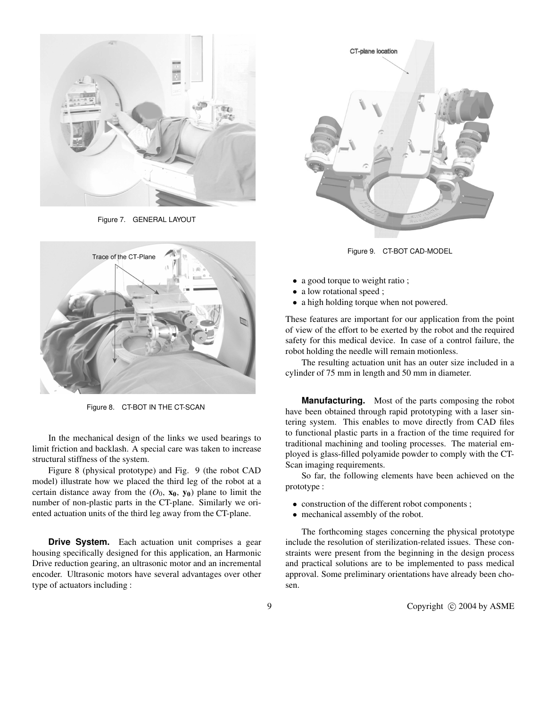

Figure 7. GENERAL LAYOUT



Figure 8. CT-BOT IN THE CT-SCAN

In the mechanical design of the links we used bearings to limit friction and backlash. A special care was taken to increase structural stiffness of the system.

Figure 8 (physical prototype) and Fig. 9 (the robot CAD model) illustrate how we placed the third leg of the robot at a certain distance away from the  $(O_0, x_0, y_0)$  plane to limit the number of non-plastic parts in the CT-plane. Similarly we oriented actuation units of the third leg away from the CT-plane.

**Drive System.** Each actuation unit comprises a gear housing specifically designed for this application, an Harmonic Drive reduction gearing, an ultrasonic motor and an incremental encoder. Ultrasonic motors have several advantages over other type of actuators including :



Figure 9. CT-BOT CAD-MODEL

- a good torque to weight ratio;
- a low rotational speed ;
- a high holding torque when not powered.

These features are important for our application from the point of view of the effort to be exerted by the robot and the required safety for this medical device. In case of a control failure, the robot holding the needle will remain motionless.

The resulting actuation unit has an outer size included in a cylinder of 75 mm in length and 50 mm in diameter.

**Manufacturing.** Most of the parts composing the robot have been obtained through rapid prototyping with a laser sintering system. This enables to move directly from CAD files to functional plastic parts in a fraction of the time required for traditional machining and tooling processes. The material employed is glass-filled polyamide powder to comply with the CT-Scan imaging requirements.

So far, the following elements have been achieved on the prototype :

- construction of the different robot components;
- mechanical assembly of the robot.

The forthcoming stages concerning the physical prototype include the resolution of sterilization-related issues. These constraints were present from the beginning in the design process and practical solutions are to be implemented to pass medical approval. Some preliminary orientations have already been chosen.